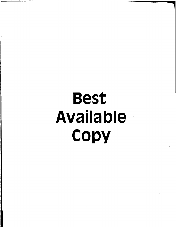# Best Available **Copy**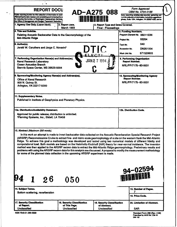| <b>REPORT DOCU</b><br>AD-A275 088                                                                                                                                                                          |                                                                                   |                                   | Form Approved<br>OBM No. 0704-0188                                                                                                                                                                                                                       |
|------------------------------------------------------------------------------------------------------------------------------------------------------------------------------------------------------------|-----------------------------------------------------------------------------------|-----------------------------------|----------------------------------------------------------------------------------------------------------------------------------------------------------------------------------------------------------------------------------------------------------|
| Public reporting burden for this collection of information is estim-<br>maintaining the data needed, and completing and reviewing the co<br>for reducing this burden, to Washington Headquarters Services. |                                                                                   |                                   | tions, searching existing data sources, gathering and<br><b>X of this collection of Information, including suppestions</b><br>ghway, Suite 1204, Arlington, VA 22202-4302, and to                                                                        |
| the Office of Management and Budget, Paperwork Reduction P<br>1. Agency Use Only (Leave blank).                                                                                                            | 2. Report Date.                                                                   | 3. Report Type and Dates Covered. |                                                                                                                                                                                                                                                          |
| 4. Title and Subtitle.                                                                                                                                                                                     | March 1993                                                                        | <b>Final - Proceedings</b>        | 5. Funding Numbers.                                                                                                                                                                                                                                      |
| Relating Acoustic Backscatter Data to the Geomorphology of the<br><b>Mid-Atlantic Ridge</b>                                                                                                                |                                                                                   |                                   | Program Element No. 0601153N                                                                                                                                                                                                                             |
|                                                                                                                                                                                                            |                                                                                   |                                   | 03204<br>Project No.                                                                                                                                                                                                                                     |
| 6. Author(s).                                                                                                                                                                                              |                                                                                   |                                   | 040                                                                                                                                                                                                                                                      |
| Jerald W. Caruthers and Jorge C. Novarini <sup>1</sup><br>DTIC                                                                                                                                             |                                                                                   |                                   | Task No.<br>Accession No.<br>DN251004                                                                                                                                                                                                                    |
|                                                                                                                                                                                                            |                                                                                   |                                   |                                                                                                                                                                                                                                                          |
|                                                                                                                                                                                                            |                                                                                   |                                   | 571520603<br>Work Unit No.                                                                                                                                                                                                                               |
| 7. Performing Organization Name(s) and Address(es).<br><b>JAN2 7 1994</b><br><b>Naval Research Laboratory</b><br><b>Ocean Acoustics Branch</b>                                                             |                                                                                   |                                   | 8. Performing Organization<br>Report Number.                                                                                                                                                                                                             |
|                                                                                                                                                                                                            |                                                                                   |                                   | NRL/PP/7175--93-0031                                                                                                                                                                                                                                     |
| Stennis Space Center, MS 39529-5004                                                                                                                                                                        |                                                                                   |                                   |                                                                                                                                                                                                                                                          |
|                                                                                                                                                                                                            |                                                                                   |                                   |                                                                                                                                                                                                                                                          |
| 9. Sponsoring/Monitoring Agency Name(s) and Address(es).<br><b>Office of Naval Research</b>                                                                                                                |                                                                                   |                                   | 10. Sponsoring/Monitoring Agency<br>Report Number.                                                                                                                                                                                                       |
| 800 N. Quincy St.                                                                                                                                                                                          |                                                                                   |                                   | NRL/PP/7175--93-0031                                                                                                                                                                                                                                     |
| Arlington, VA 22217-5000                                                                                                                                                                                   |                                                                                   |                                   |                                                                                                                                                                                                                                                          |
|                                                                                                                                                                                                            |                                                                                   |                                   |                                                                                                                                                                                                                                                          |
| 11. Supplementary Notes.                                                                                                                                                                                   |                                                                                   |                                   |                                                                                                                                                                                                                                                          |
| Published in Institute of Geophysics and Planetary Physics.                                                                                                                                                |                                                                                   |                                   |                                                                                                                                                                                                                                                          |
|                                                                                                                                                                                                            |                                                                                   |                                   |                                                                                                                                                                                                                                                          |
| 12a. Distribution/Availability Statement.                                                                                                                                                                  |                                                                                   |                                   | 12b. Distribution Code.                                                                                                                                                                                                                                  |
| Approved for public release; distribution is unlimited.                                                                                                                                                    |                                                                                   |                                   |                                                                                                                                                                                                                                                          |
| 'Planning Systems, Inc., Slideli, LA 70458                                                                                                                                                                 |                                                                                   |                                   |                                                                                                                                                                                                                                                          |
|                                                                                                                                                                                                            |                                                                                   |                                   |                                                                                                                                                                                                                                                          |
|                                                                                                                                                                                                            |                                                                                   |                                   |                                                                                                                                                                                                                                                          |
| 13. Abstract (Maximum 200 words).                                                                                                                                                                          |                                                                                   |                                   |                                                                                                                                                                                                                                                          |
|                                                                                                                                                                                                            |                                                                                   |                                   | In this work an attempt is made to invert backscatter data collected on the Acoustic Reverberation Special Research Project                                                                                                                              |
|                                                                                                                                                                                                            |                                                                                   |                                   | (ARSRP) Reconnaissance Cruise to extract fine- and micro-scale geomorphology of a site on the western flank the Mid-Atlantic<br>Ridge. To achieve this goal a methodology was developed and tested using two numerical models of different fidelity and  |
|                                                                                                                                                                                                            |                                                                                   |                                   | computational load. Both models are based on the Helmholtz-Kirchhoff (H/K) theory for near-normal incidence. The inversion                                                                                                                               |
|                                                                                                                                                                                                            |                                                                                   |                                   | method was then applied to the ARSRP reconn data to extract the Mid-Atlantic Ridge geomorphology. Preliminary results and<br>problems with using the ARSRP reconn data for this analysis are discussed. A proposal to modify the measurement methodology |
|                                                                                                                                                                                                            | for some of the planned data collection in the upcoming ARSRP experiment is made. |                                   |                                                                                                                                                                                                                                                          |
|                                                                                                                                                                                                            |                                                                                   |                                   |                                                                                                                                                                                                                                                          |
|                                                                                                                                                                                                            |                                                                                   |                                   |                                                                                                                                                                                                                                                          |
|                                                                                                                                                                                                            |                                                                                   |                                   |                                                                                                                                                                                                                                                          |
|                                                                                                                                                                                                            |                                                                                   |                                   |                                                                                                                                                                                                                                                          |
|                                                                                                                                                                                                            |                                                                                   |                                   | <b>94-02594<br/>WAMMANINI</b>                                                                                                                                                                                                                            |
| 26                                                                                                                                                                                                         | 050                                                                               |                                   |                                                                                                                                                                                                                                                          |
|                                                                                                                                                                                                            |                                                                                   |                                   |                                                                                                                                                                                                                                                          |
| 14. Subject Terms.                                                                                                                                                                                         |                                                                                   |                                   | 15. Number of Pages.                                                                                                                                                                                                                                     |
| Bottom scattering, reverberation                                                                                                                                                                           |                                                                                   |                                   |                                                                                                                                                                                                                                                          |
|                                                                                                                                                                                                            |                                                                                   |                                   | 16. Price Code.                                                                                                                                                                                                                                          |
| 17. Security Classification                                                                                                                                                                                | 18. Security Classification                                                       | 19. Security Classification       | 20. Limitation of Abstract.                                                                                                                                                                                                                              |
| of Report.                                                                                                                                                                                                 | of This Page.                                                                     | of Abstract.                      |                                                                                                                                                                                                                                                          |
| Unclassified                                                                                                                                                                                               | <b>Unclassified</b>                                                               | <b>Unclassified</b>               | <b>SAR</b>                                                                                                                                                                                                                                               |
| NSN 7540-01-280-5500                                                                                                                                                                                       |                                                                                   |                                   | Standard Form 298 (Rev. 2-89)<br>Prescribed by ANSI Std. 239-18<br>298-102                                                                                                                                                                               |

 $\ddot{\bullet}$  .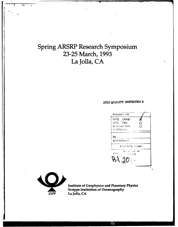## Spring ARSRP Research Symposium **23-25** March, **1993** La Jolla, **CA**

### DTIO QUALMTY INSPECTED **5**





5 *-e* -,

Institute of Geophysics and Planetary Physics Scripps Institution of Oceanography

 $\epsilon$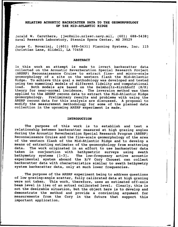#### **RELATING** ACOUSTIC BACKSCATTER **DATA** TO THE GEOMORPHOLOGY OF **THE** MID-ATLANTIC RIDGE

Jerald W. Caruthers, [jwc@milo.nrlssc.navy.mil, (601) 688-5438] Naval Research Laboratory, Stennis Space Center, MS 39529

Jorge C. Novarini, [(601) 688-5431] Planning Systems, Inc. 115 Christian Lane, Slidell, LA 70458

#### ABSTRACT

In this work an attempt is made to invert backscatter data collected on the Acoustic Reverberation Special Research Project (ARSRP) Reconnaissance Cruise to extract fine- and micro-scale geomorphology of a site on the western flank the Mid-Atlantic Ridge. To achieve this goal a methodology was developed and tested using two numerical models of different fidelity and computational load. Both models are based on the Helmholtz-Kirchhoff (H/K) theory for near-normal incidence. The inversion method was then applied to the ARSRP reconn data to extract the Mid-Atlantic Ridge geomorphology. Preliminary results and problems with using the ARSRP reconn data for this analysis are discussed. A proposal to modify the measurement methodology for some of the planned data collection in the upcoming ARSRP experiment is made.

#### INTRODUCTION

The purpose of this work is to establish and test a relationship between backscatter measured at high grazing angles during the Acoustic Reverberation Special Research Program (ARSRP) Reconnaissance Cruise and the fine-scale geomorphology of the area of the western flank of the Mid-Atlantic Ridge and to develop a means of extracting estimates of the geomorphology from scattering data. The work originated in an effort to use backscatter data taken in conjunction with bathymetric surveys using swath bathymetry systems [1-3]. The low-frequency active acoustic experimental system aboard the R/V Cory Chouest can collect backscatter data with characteristics similar to swath batbymetry system backscatter data, only at much lower frequencies.

The purpose of the ARSRP experiment being to address questions of low grazing-angle scatter, fully calibrated data at high grazing were not taken. This work, therefore, uses an estimated off-axis beam level in lieu of an actual calibrated level. Clearly, this is not the desirable situation, but the object here is to develop and demonstrate the method and provide a convincing argument for measurements from the Cory in the future that support this important application.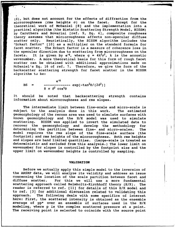$(\delta)$ , but does not account for the effects of diffraction from the microroughness (rms heights  $\sigma$ ) on the facet. Except for the microroughness (rms heights  $\sigma$ ) on the facet. theoretical work of McDaniel **[8]** and the implementation into a practical algorithm (the Bistatic Scattering Strength Model, BISSM) by Caruthers and Novarini [ref. 9, Eq. 4], composite roughness theory assumes that microroughness affects non-specular diffuse<br>scatter only. Heuristically, the BISSM algorithm includes the Heuristically, the BISSM algorithm includes the "Eckart factor" [10] as a multiplier on the standard formula for facet scatter. The Eckart factor is a measure of coherence loss in the specular direction due to scattering from microroughness on the facets. It is given by  $e^{-g}$ , where  $g = 4k^2\sigma^2$ , k is the acoustic It is given by e<sup>-9</sup>, where g =  $4k^2\sigma^2$ , k is the acoustic wavenumber. A more theoretical basis for this form of rough facet scatter can be obtained with additional approximations made on McDaniel's Eq. 16 of ref. 7. Therefore, we give the form of the backscatter scattering strength for facet scatter in the BISSM algorithm to be:

 $e^{-9}$ BS =  $\leftarrow$   $\leftarrow$   $\leftarrow$   $\leftarrow$   $\leftarrow$   $\exp(-\tan^2\theta/(2\delta^2))$ 8 *T* 62 **cos4E**

**..............** . .... I i ll | II i i 1 • . . . .

It should be noted that backscattering strength contains information about microroughness and rms slopes.

The intermediate limit between fine-scale and micro-scale is<br>ect to the analysis done in this work. The estimated subject to the analysis done in this work. geomorphology of the reconn area was used to simulate surfaces with known geomorphology and the H/K model was used to simulate scattering. BISSM was applied to invert the simulated data to recover the geomorphology and develop the methodology for determining the partition between fine- and micro-scales. The model requires the rms slope of the fine-scale surface (the footprint) and rms heights of the microroughness. Both rms heights and slopes are band limited quantities. (Large-scale is treated as deterministic and excluded from this analysis.) The lower limit on wavenumber for slopes is controlled by the footprint size and the upper limit on wavenumber heights is controlled by sampling.

#### **VALIDATION**

Before we actually apply this simple model to the inversion of the ARSRP data, we will analyze its validity and address an issue concerning the location of the scale partition between facet and diffuse scatter. For this we will use a more fundamental scattering approach called Helmholtz-Kirchhoff theory (H/K). The reader is referred to ref. [11] for details of this H/K model and to ref. [3] for additional discussion related to validating this approach. The following deals with some specifics of interest here: First, the scattered intensity is obtained as the ensemble average of pp\* over an ensemble of surfaces used in the H/K modeling, where p is the complex scattered pressure at a point. The receiving point is selected to coincide with the source point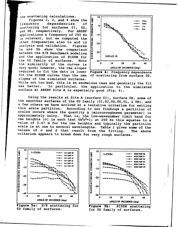the scattering calculations.<br>
Figures 2, 3, and 4 show the  $\frac{2}{9}$ Figures 2, 3, and 4 show the<br>frequency dependencies of frequency dependencies of<br>scattering for surfaces 01, 0D,<br>and 0E, respectively. For ARSRP<br>applications a frequency of 250 Hz and OE, respectively. For ARSRP  $\begin{bmatrix} 8 & 0 & 0 \\ 0 & 0 & 0 \\ 0 & 0 & 0 \\ 0 & 0 & 0 \end{bmatrix}$  and OE, respectively. For ARSRP applications a frequency of 250 Hz<br>is relevant, but we computed the<br>other frequencies also to aid in<br>analysis and validation. Figures<br>5a and 5b show the comparison<br>between the H/K benchmark modeling is relevant, but we computed the other frequencies also to aid in  $\begin{bmatrix} \vec{a} \\ \vec{a} \end{bmatrix}$  -20<br>analysis and validation. Figures analysis and validation. 5a and 5b show the comparison between the H/K benchmark modeling **19** .30 and the application of BISSM for  $\frac{12}{5}$  SURFACE: 0E the **GD** family of surfaces. Note **-40oop** the similarity of the curves is  $\begin{array}{|l|l|l|l|} \hline 0 & 10 & 20 & 30 & 40 \\ \hline 10 & 20 & 30 & 40 & 40 & 20 \\ 0 & 20 & 30 & 40 & 40 & 20 \\ \hline \end{array}$ very good; however, the rms slopes required to fit the data is lower Figure 4: Frequency dependence<br>for the BISSM curves than the rms of scattering from surface OE. for the BISSM curves than the rms slopes of the simulated surfaces.



While not too bad, this is an anomalous case and generally the fit was better. In particular, the application to the simulated In particular, the application to the simulated surface at ARSRP Site **A** is especially good (Fig. **6).**

Using the results at Site **A** (surface **01),** surface **OE,** some of the smoother surfaces of the **OD** family (0I,OJ,OD,OK,OL, **&** OM), and a few others we have arrived at a tentative criterium for setting<br>this scale partition. According to our findings a partition of scales occurs where the quantity g (microroughness parameter) is<br>approximately unity. That is, the low-wavenumber limit band for That is, the low-wavenumber limit band for rms heights ( $\sigma$ ) is such that  $4k^2\sigma^2 = 1$ ; at 250 Hz this equates to a value of 0.47 m for the rms heights and typically the partition scale is at one to several wavelengths. Table I gives some of the values of  $\sigma$  and  $\delta$  that result from the fitting. The above criterium appears to break down for very rough surfaces.



Figure 5a: H/K scattering for Figure 5b: **BISSM** scattering 0D family of surfaces.